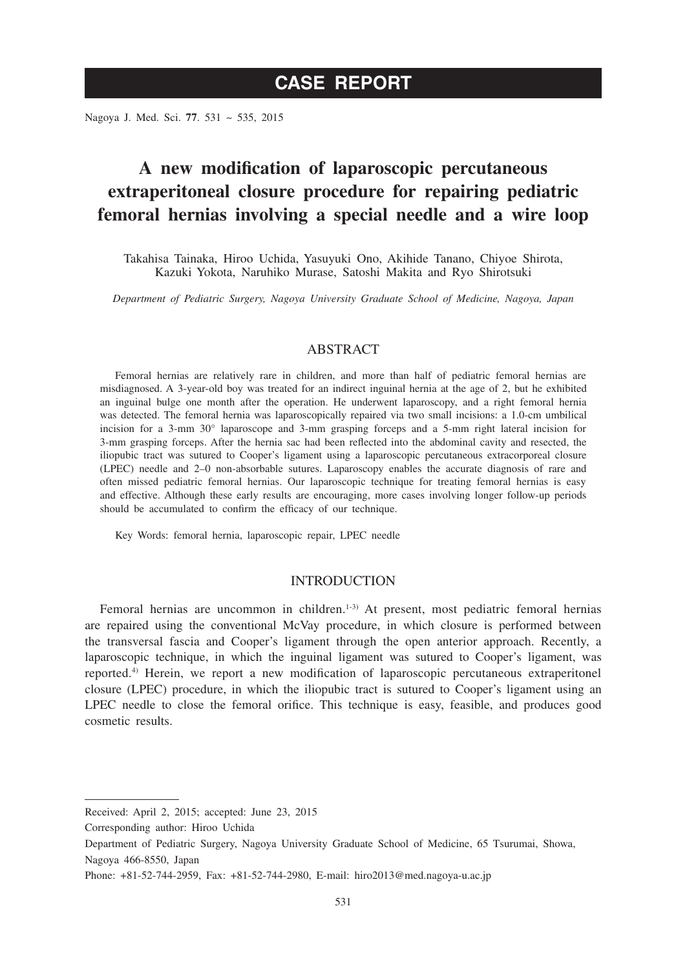Nagoya J. Med. Sci. **77**. 531 ~ 535, 2015

# **A new modification of laparoscopic percutaneous extraperitoneal closure procedure for repairing pediatric femoral hernias involving a special needle and a wire loop**

Takahisa Tainaka, Hiroo Uchida, Yasuyuki Ono, Akihide Tanano, Chiyoe Shirota, Kazuki Yokota, Naruhiko Murase, Satoshi Makita and Ryo Shirotsuki

*Department of Pediatric Surgery, Nagoya University Graduate School of Medicine, Nagoya, Japan*

### ABSTRACT

Femoral hernias are relatively rare in children, and more than half of pediatric femoral hernias are misdiagnosed. A 3-year-old boy was treated for an indirect inguinal hernia at the age of 2, but he exhibited an inguinal bulge one month after the operation. He underwent laparoscopy, and a right femoral hernia was detected. The femoral hernia was laparoscopically repaired via two small incisions: a 1.0-cm umbilical incision for a 3-mm 30° laparoscope and 3-mm grasping forceps and a 5-mm right lateral incision for 3-mm grasping forceps. After the hernia sac had been reflected into the abdominal cavity and resected, the iliopubic tract was sutured to Cooper's ligament using a laparoscopic percutaneous extracorporeal closure (LPEC) needle and 2–0 non-absorbable sutures. Laparoscopy enables the accurate diagnosis of rare and often missed pediatric femoral hernias. Our laparoscopic technique for treating femoral hernias is easy and effective. Although these early results are encouraging, more cases involving longer follow-up periods should be accumulated to confirm the efficacy of our technique.

Key Words: femoral hernia, laparoscopic repair, LPEC needle

## INTRODUCTION

Femoral hernias are uncommon in children.<sup>1-3)</sup> At present, most pediatric femoral hernias are repaired using the conventional McVay procedure, in which closure is performed between the transversal fascia and Cooper's ligament through the open anterior approach. Recently, a laparoscopic technique, in which the inguinal ligament was sutured to Cooper's ligament, was reported.4) Herein, we report a new modification of laparoscopic percutaneous extraperitonel closure (LPEC) procedure, in which the iliopubic tract is sutured to Cooper's ligament using an LPEC needle to close the femoral orifice. This technique is easy, feasible, and produces good cosmetic results.

Received: April 2, 2015; accepted: June 23, 2015

Corresponding author: Hiroo Uchida

Department of Pediatric Surgery, Nagoya University Graduate School of Medicine, 65 Tsurumai, Showa, Nagoya 466-8550, Japan

Phone: +81-52-744-2959, Fax: +81-52-744-2980, E-mail: hiro2013@med.nagoya-u.ac.jp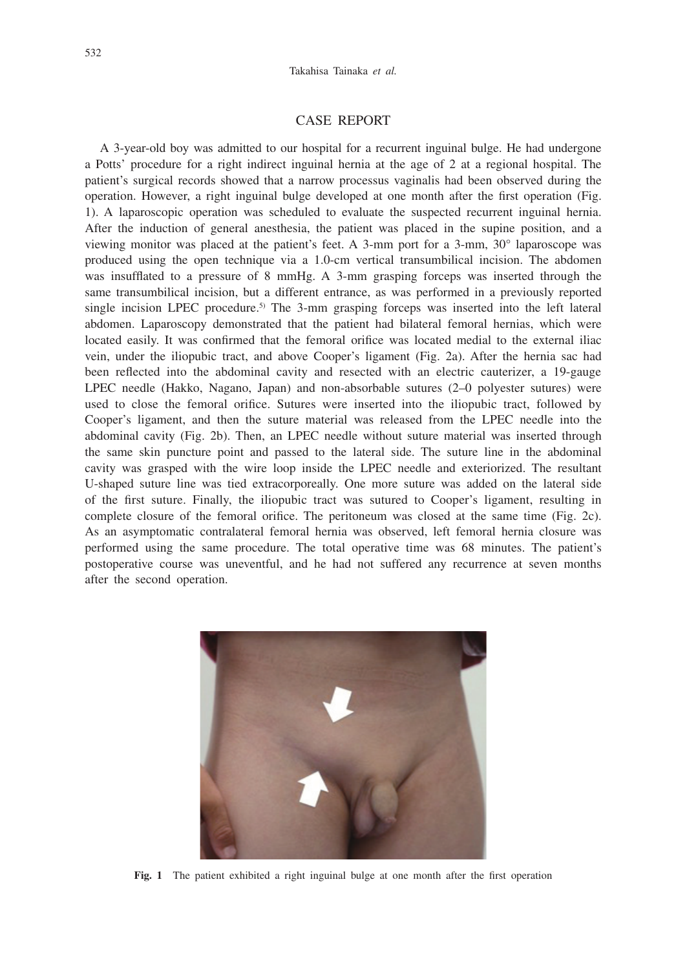### CASE REPORT

A 3-year-old boy was admitted to our hospital for a recurrent inguinal bulge. He had undergone a Potts' procedure for a right indirect inguinal hernia at the age of 2 at a regional hospital. The patient's surgical records showed that a narrow processus vaginalis had been observed during the operation. However, a right inguinal bulge developed at one month after the first operation (Fig. 1). A laparoscopic operation was scheduled to evaluate the suspected recurrent inguinal hernia. After the induction of general anesthesia, the patient was placed in the supine position, and a viewing monitor was placed at the patient's feet. A 3-mm port for a 3-mm, 30° laparoscope was produced using the open technique via a 1.0-cm vertical transumbilical incision. The abdomen was insufflated to a pressure of 8 mmHg. A 3-mm grasping forceps was inserted through the same transumbilical incision, but a different entrance, as was performed in a previously reported single incision LPEC procedure.<sup>5)</sup> The 3-mm grasping forceps was inserted into the left lateral abdomen. Laparoscopy demonstrated that the patient had bilateral femoral hernias, which were located easily. It was confirmed that the femoral orifice was located medial to the external iliac vein, under the iliopubic tract, and above Cooper's ligament (Fig. 2a). After the hernia sac had been reflected into the abdominal cavity and resected with an electric cauterizer, a 19-gauge LPEC needle (Hakko, Nagano, Japan) and non-absorbable sutures (2–0 polyester sutures) were used to close the femoral orifice. Sutures were inserted into the iliopubic tract, followed by Cooper's ligament, and then the suture material was released from the LPEC needle into the abdominal cavity (Fig. 2b). Then, an LPEC needle without suture material was inserted through the same skin puncture point and passed to the lateral side. The suture line in the abdominal cavity was grasped with the wire loop inside the LPEC needle and exteriorized. The resultant U-shaped suture line was tied extracorporeally. One more suture was added on the lateral side of the first suture. Finally, the iliopubic tract was sutured to Cooper's ligament, resulting in complete closure of the femoral orifice. The peritoneum was closed at the same time (Fig. 2c). As an asymptomatic contralateral femoral hernia was observed, left femoral hernia closure was performed using the same procedure. The total operative time was 68 minutes. The patient's postoperative course was uneventful, and he had not suffered any recurrence at seven months after the second operation.



**Fig. 1** The patient exhibited a right inguinal bulge at one month after the first operation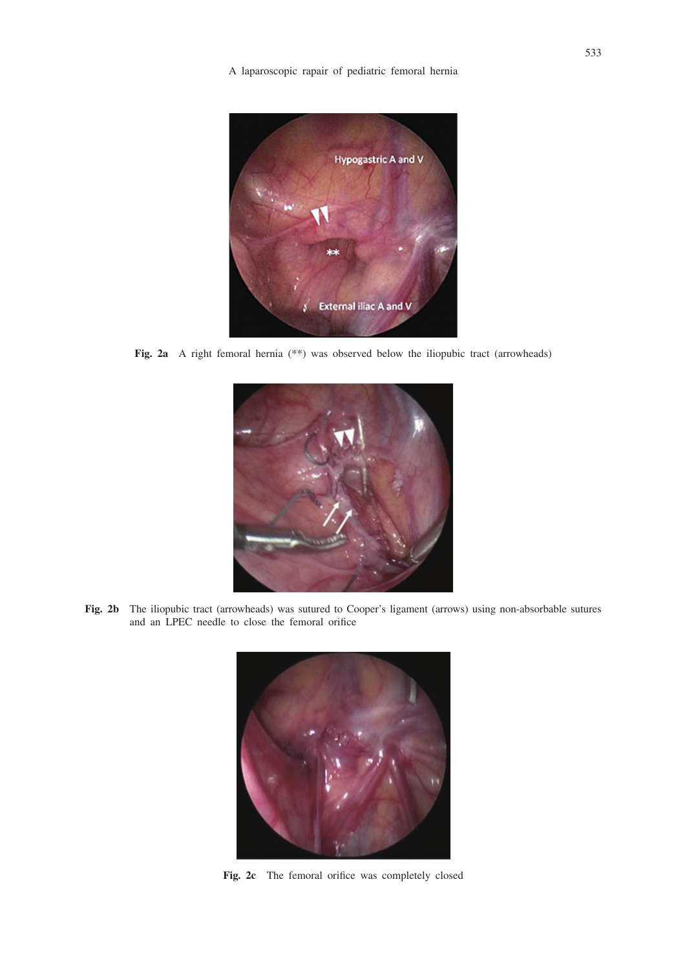A laparoscopic rapair of pediatric femoral hernia



**Fig. 2a** A right femoral hernia (\*\*) was observed below the iliopubic tract (arrowheads)



**Fig. 2b** The iliopubic tract (arrowheads) was sutured to Cooper's ligament (arrows) using non-absorbable sutures and an LPEC needle to close the femoral orifice



**Fig. 2c** The femoral orifice was completely closed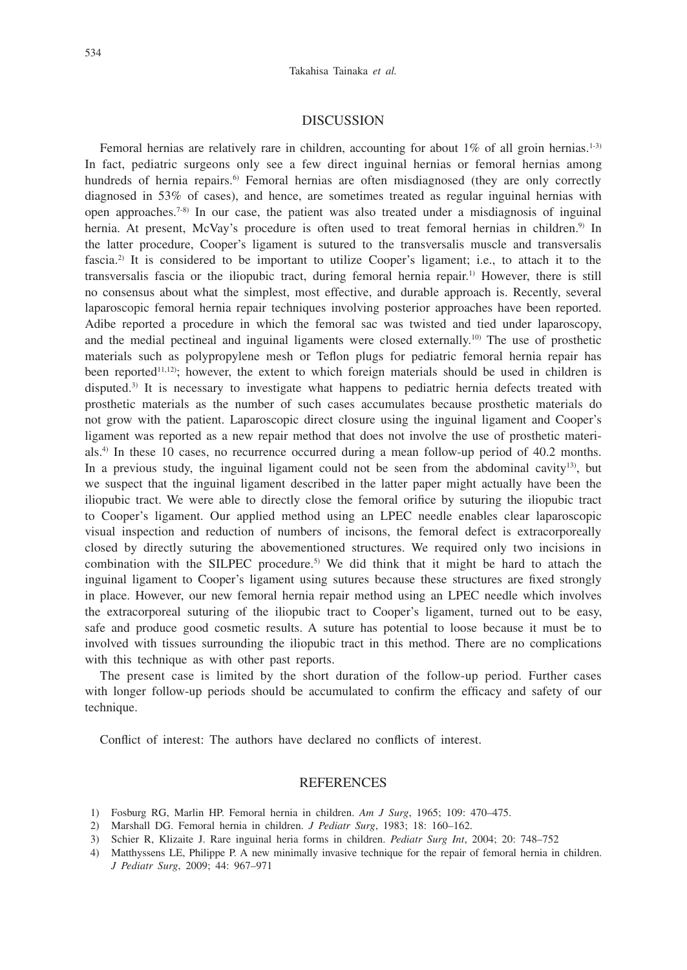#### **DISCUSSION**

Femoral hernias are relatively rare in children, accounting for about  $1\%$  of all groin hernias.<sup>1-3)</sup> In fact, pediatric surgeons only see a few direct inguinal hernias or femoral hernias among hundreds of hernia repairs.<sup>6)</sup> Femoral hernias are often misdiagnosed (they are only correctly diagnosed in 53% of cases), and hence, are sometimes treated as regular inguinal hernias with open approaches.<sup>7-8)</sup> In our case, the patient was also treated under a misdiagnosis of inguinal hernia. At present, McVay's procedure is often used to treat femoral hernias in children.<sup>9)</sup> In the latter procedure, Cooper's ligament is sutured to the transversalis muscle and transversalis fascia.2) It is considered to be important to utilize Cooper's ligament; i.e., to attach it to the transversalis fascia or the iliopubic tract, during femoral hernia repair.1) However, there is still no consensus about what the simplest, most effective, and durable approach is. Recently, several laparoscopic femoral hernia repair techniques involving posterior approaches have been reported. Adibe reported a procedure in which the femoral sac was twisted and tied under laparoscopy, and the medial pectineal and inguinal ligaments were closed externally.<sup>10)</sup> The use of prosthetic materials such as polypropylene mesh or Teflon plugs for pediatric femoral hernia repair has been reported<sup>11,12</sup>); however, the extent to which foreign materials should be used in children is disputed.<sup>3)</sup> It is necessary to investigate what happens to pediatric hernia defects treated with prosthetic materials as the number of such cases accumulates because prosthetic materials do not grow with the patient. Laparoscopic direct closure using the inguinal ligament and Cooper's ligament was reported as a new repair method that does not involve the use of prosthetic materials.4) In these 10 cases, no recurrence occurred during a mean follow-up period of 40.2 months. In a previous study, the inguinal ligament could not be seen from the abdominal cavity<sup>13</sup>, but we suspect that the inguinal ligament described in the latter paper might actually have been the iliopubic tract. We were able to directly close the femoral orifice by suturing the iliopubic tract to Cooper's ligament. Our applied method using an LPEC needle enables clear laparoscopic visual inspection and reduction of numbers of incisons, the femoral defect is extracorporeally closed by directly suturing the abovementioned structures. We required only two incisions in combination with the SILPEC procedure.<sup>5)</sup> We did think that it might be hard to attach the inguinal ligament to Cooper's ligament using sutures because these structures are fixed strongly in place. However, our new femoral hernia repair method using an LPEC needle which involves the extracorporeal suturing of the iliopubic tract to Cooper's ligament, turned out to be easy, safe and produce good cosmetic results. A suture has potential to loose because it must be to involved with tissues surrounding the iliopubic tract in this method. There are no complications with this technique as with other past reports.

The present case is limited by the short duration of the follow-up period. Further cases with longer follow-up periods should be accumulated to confirm the efficacy and safety of our technique.

Conflict of interest: The authors have declared no conflicts of interest.

#### REFERENCES

- 1) Fosburg RG, Marlin HP. Femoral hernia in children. *Am J Surg*, 1965; 109: 470–475.
- 2) Marshall DG. Femoral hernia in children. *J Pediatr Surg*, 1983; 18: 160–162.
- 3) Schier R, Klizaite J. Rare inguinal heria forms in children. *Pediatr Surg Int*, 2004; 20: 748–752
- 4) Matthyssens LE, Philippe P. A new minimally invasive technique for the repair of femoral hernia in children. *J Pediatr Surg*, 2009; 44: 967–971